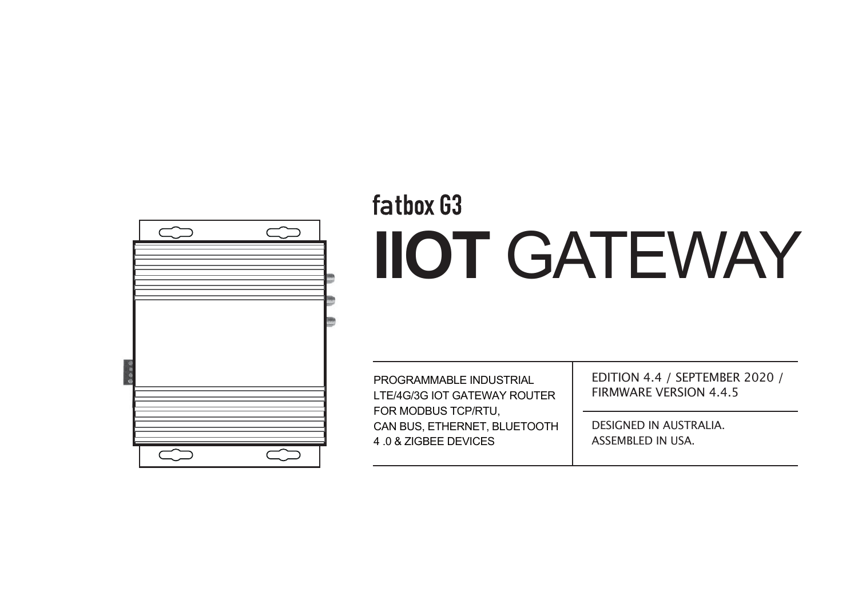

# fatbox G3 **IIOT** GATEWAY

PROGRAMMABLE INDUSTRIAL LTE/4G/3G IOT GATEWAY ROUTER FOR MODBUS TCP/RTU, CAN BUS, ETHERNET, BLUETOOTH 4 .0 & ZIGBEE DEVICES

EDITION 4.4 / SEPTEMBER 2020 / FIRMWARE VERSION 4.4.5

DESIGNED IN AUSTRALIA. ASSEMBLED IN USA.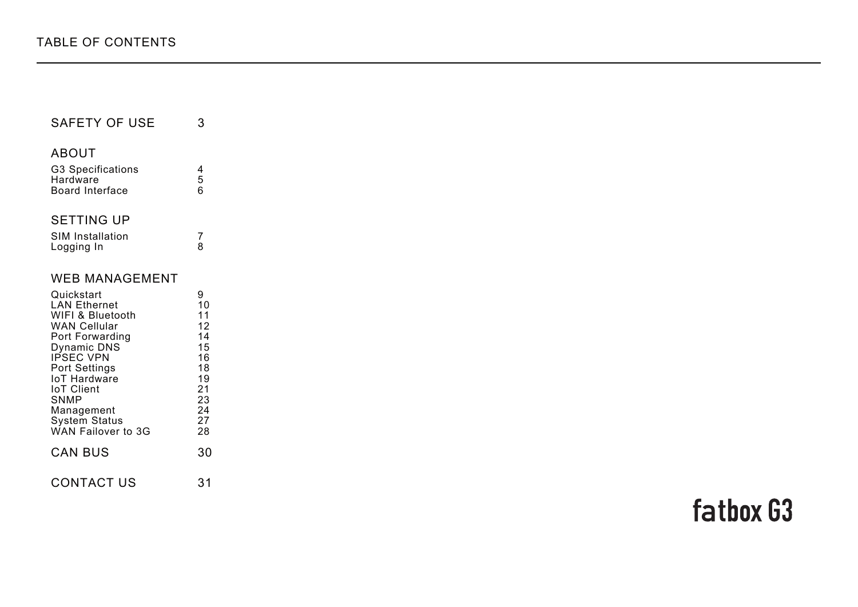| <b>SAFETY OF USE</b>                          |        |
|-----------------------------------------------|--------|
| ABOUT<br><b>G3 Specifications</b><br>Hardware | 4<br>5 |
| Board Interface                               | 6      |
| <b>SETTING UP</b>                             |        |
| <b>SIM Installation</b><br>Logging In         |        |

| Quickstart           | 9  |
|----------------------|----|
| <b>LAN Ethernet</b>  | 10 |
| WIFI & Bluetooth     | 11 |
| <b>WAN Cellular</b>  | 12 |
| Port Forwarding      | 14 |
| Dynamic DNS          | 15 |
| <b>IPSEC VPN</b>     | 16 |
| <b>Port Settings</b> | 18 |
| <b>IoT Hardware</b>  | 19 |
| <b>IoT Client</b>    | 21 |
| SNMP                 | 23 |
| Management           | 24 |
| <b>System Status</b> | 27 |
| WAN Failover to 3G   | 28 |
| <b>CAN BUS</b>       | 30 |
|                      |    |
| <b>CONTACT US</b>    | 31 |
|                      |    |

# fatbox G3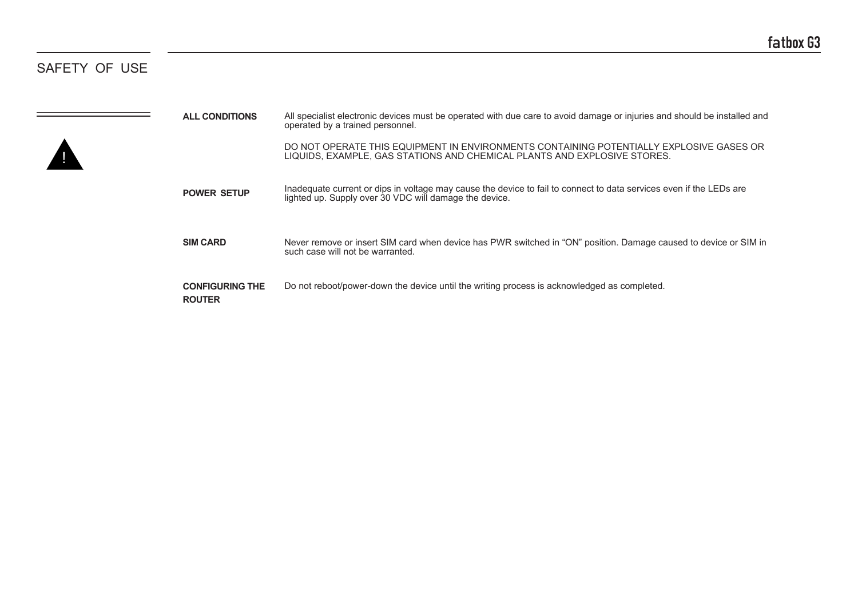# SAFETY OF USE

| <b>ALL CONDITIONS</b>                   | All specialist electronic devices must be operated with due care to avoid damage or injuries and should be installed and<br>operated by a trained personnel.                  |
|-----------------------------------------|-------------------------------------------------------------------------------------------------------------------------------------------------------------------------------|
|                                         | DO NOT OPERATE THIS EQUIPMENT IN ENVIRONMENTS CONTAINING POTENTIALLY EXPLOSIVE GASES OR<br>LIQUIDS, EXAMPLE, GAS STATIONS AND CHEMICAL PLANTS AND EXPLOSIVE STORES.           |
| <b>POWER SETUP</b>                      | Inadequate current or dips in voltage may cause the device to fail to connect to data services even if the LEDs are<br>lighted up. Supply over 30 VDC will damage the device. |
| <b>SIM CARD</b>                         | Never remove or insert SIM card when device has PWR switched in "ON" position. Damage caused to device or SIM in<br>such case will not be warranted.                          |
| <b>CONFIGURING THE</b><br><b>ROUTER</b> | Do not reboot/power-down the device until the writing process is acknowledged as completed.                                                                                   |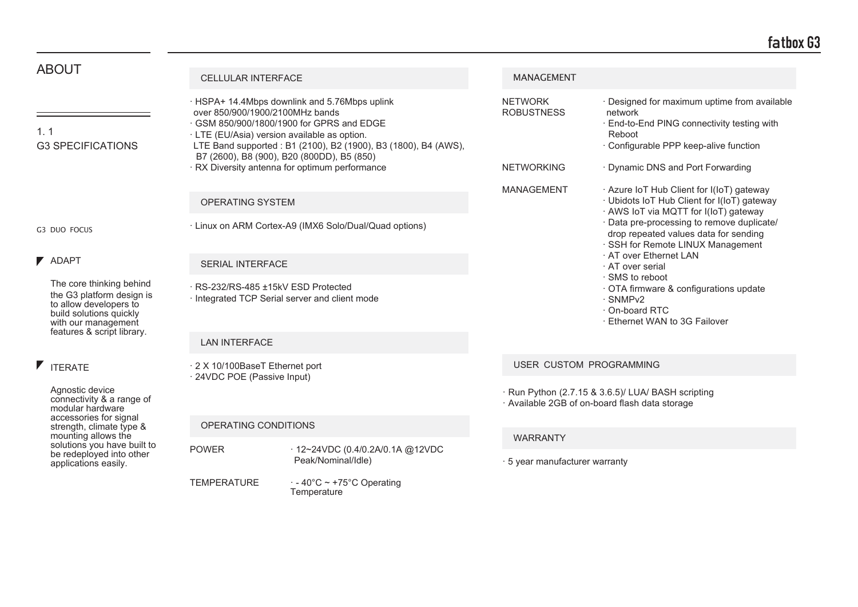| <b>ABOUT</b>                                                                                                                      | <b>CELLULAR INTERFACE</b>                                    |                                                                                                                                                                                                                                                                                                            | <b>MANAGEMENT</b>                                        |                                                                                                                                                                                                 |  |
|-----------------------------------------------------------------------------------------------------------------------------------|--------------------------------------------------------------|------------------------------------------------------------------------------------------------------------------------------------------------------------------------------------------------------------------------------------------------------------------------------------------------------------|----------------------------------------------------------|-------------------------------------------------------------------------------------------------------------------------------------------------------------------------------------------------|--|
| 1.1<br><b>G3 SPECIFICATIONS</b>                                                                                                   | over 850/900/1900/2100MHz bands                              | HSPA+ 14.4Mbps downlink and 5.76Mbps uplink<br>· GSM 850/900/1800/1900 for GPRS and EDGE<br>· LTE (EU/Asia) version available as option.<br>LTE Band supported: B1 (2100), B2 (1900), B3 (1800), B4 (AWS),<br>B7 (2600), B8 (900), B20 (800DD), B5 (850)<br>· RX Diversity antenna for optimum performance | <b>NETWORK</b><br><b>ROBUSTNESS</b><br><b>NETWORKING</b> | · Designed for maximum uptime from available<br>network<br>· End-to-End PING connectivity testing with<br>Reboot<br>· Configurable PPP keep-alive function<br>· Dynamic DNS and Port Forwarding |  |
|                                                                                                                                   | OPERATING SYSTEM                                             |                                                                                                                                                                                                                                                                                                            | <b>MANAGEMENT</b>                                        | · Azure IoT Hub Client for I(IoT) gateway<br>· Ubidots IoT Hub Client for I(IoT) gateway<br>· AWS IoT via MQTT for I(IoT) gateway                                                               |  |
| G3 DUO FOCUS                                                                                                                      |                                                              | · Linux on ARM Cortex-A9 (IMX6 Solo/Dual/Quad options)                                                                                                                                                                                                                                                     |                                                          | · Data pre-processing to remove duplicate/<br>drop repeated values data for sending<br>· SSH for Remote LINUX Management                                                                        |  |
| <b>7</b> ADAPT                                                                                                                    |                                                              | <b>SERIAL INTERFACE</b><br>· RS-232/RS-485 ±15kV ESD Protected<br>· Integrated TCP Serial server and client mode<br><b>LAN INTERFACE</b>                                                                                                                                                                   |                                                          | · AT over Ethernet LAN<br>· AT over serial                                                                                                                                                      |  |
| The core thinking behind<br>the G3 platform design is<br>to allow developers to<br>build solutions quickly<br>with our management |                                                              |                                                                                                                                                                                                                                                                                                            |                                                          | · SMS to reboot<br>OTA firmware & configurations update<br>· SNMPv2<br>· On-board RTC<br>· Ethernet WAN to 3G Failover                                                                          |  |
| features & script library.                                                                                                        |                                                              |                                                                                                                                                                                                                                                                                                            |                                                          |                                                                                                                                                                                                 |  |
| <b>FITERATE</b>                                                                                                                   | 2 X 10/100BaseT Ethernet port<br>· 24VDC POE (Passive Input) |                                                                                                                                                                                                                                                                                                            |                                                          | USER CUSTOM PROGRAMMING                                                                                                                                                                         |  |
| Agnostic device<br>connectivity & a range of<br>modular hardware                                                                  |                                                              |                                                                                                                                                                                                                                                                                                            |                                                          | · Run Python (2.7.15 & 3.6.5)/ LUA/ BASH scripting<br>· Available 2GB of on-board flash data storage                                                                                            |  |
| accessories for signal<br>strength, climate type &<br>mounting allows the                                                         | OPERATING CONDITIONS                                         |                                                                                                                                                                                                                                                                                                            |                                                          |                                                                                                                                                                                                 |  |
| solutions you have built to<br>be redeployed into other<br>applications easily.                                                   | <b>POWER</b>                                                 | 12~24VDC (0.4/0.2A/0.1A @12VDC<br>Peak/Nominal/Idle)                                                                                                                                                                                                                                                       | <b>WARRANTY</b><br>· 5 year manufacturer warranty        |                                                                                                                                                                                                 |  |
|                                                                                                                                   | <b>TEMPERATURE</b>                                           | $\cdot$ - 40°C ~ +75°C Operating<br>Temperature                                                                                                                                                                                                                                                            |                                                          |                                                                                                                                                                                                 |  |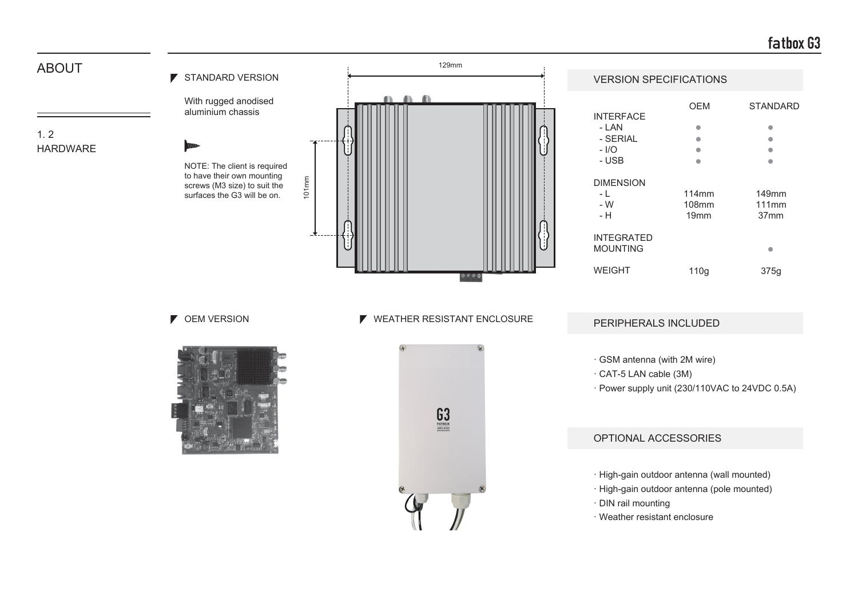# **fatbox G3**

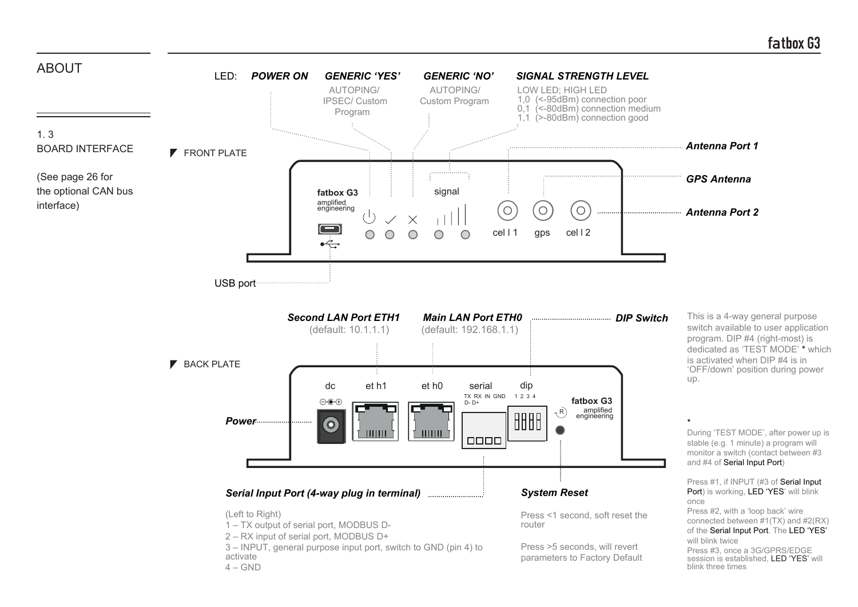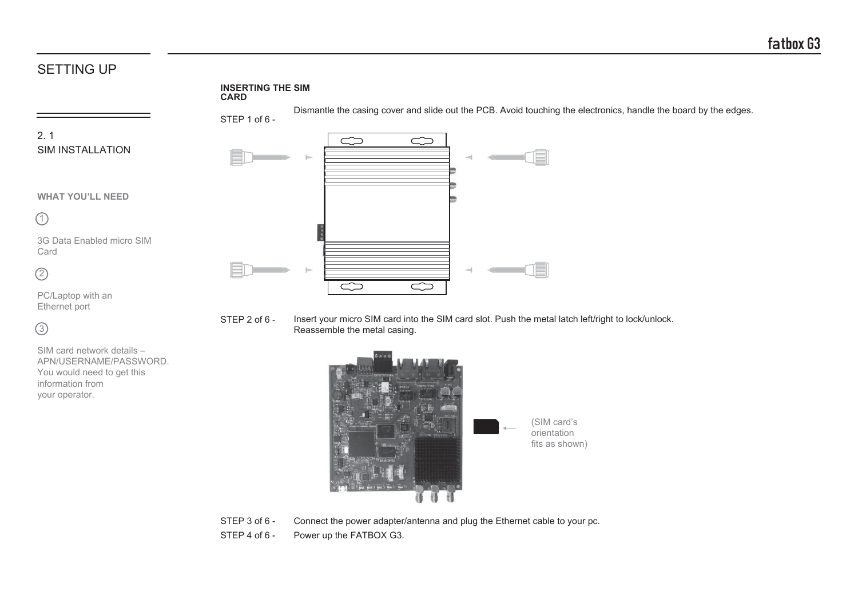# SETTING UP

 $\circ$ 

SIM card network details – APN/USERNAME/PASSWORD. You would need to get this

information from your operator.

#### **INSERTING THE SIM CARD**



STEP 2 of 6 - Insert your micro SIM card into the SIM card slot. Push the metal latch left/right to lock/unlock. Reassemble the metal casing.



STEP 3 of 6 - Connect the power adapter/antenna and plug the Ethernet cable to your pc.

STEP 4 of 6 - Power up the FATBOX G3.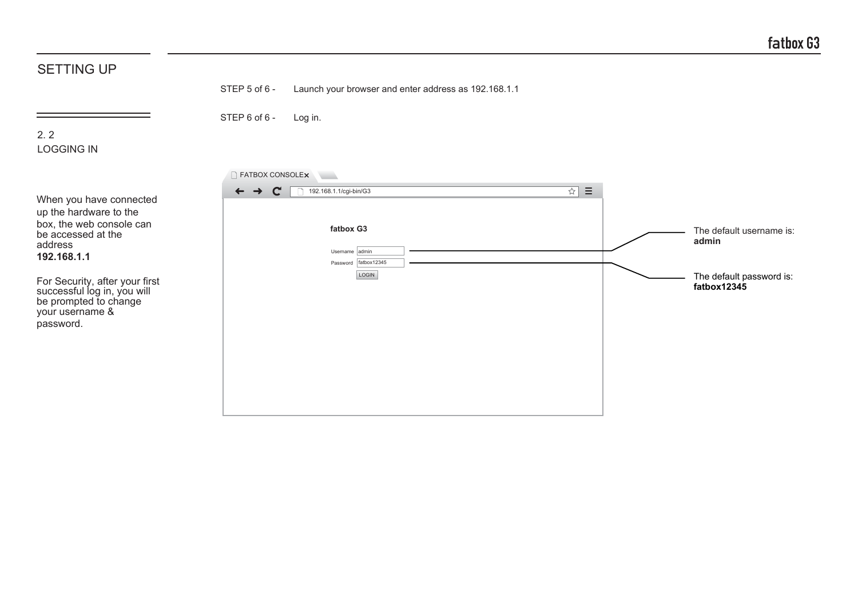| <b>SETTING UP</b>                                                                                                                                                                                                                                       |                                                               |                                                                                                                                         |                                                                              |
|---------------------------------------------------------------------------------------------------------------------------------------------------------------------------------------------------------------------------------------------------------|---------------------------------------------------------------|-----------------------------------------------------------------------------------------------------------------------------------------|------------------------------------------------------------------------------|
|                                                                                                                                                                                                                                                         | STEP 5 of 6 -                                                 | Launch your browser and enter address as 192.168.1.1                                                                                    |                                                                              |
| 2.2<br><b>LOGGING IN</b>                                                                                                                                                                                                                                | STEP 6 of 6 -                                                 | Log in.                                                                                                                                 |                                                                              |
| When you have connected<br>up the hardware to the<br>box, the web console can<br>be accessed at the<br>address<br>192.168.1.1<br>For Security, after your first<br>successful log in, you will<br>be prompted to change<br>your username &<br>password. | FATBOX CONSOLEX<br>$\mathbf{C}$<br>$\leftarrow$ $\rightarrow$ | $\sim$<br>$\equiv$<br>$\overline{\mathbf{r}}$<br>192.168.1.1/cgi-bin/G3<br>fatbox G3<br>Username admin<br>Password fatbox12345<br>LOGIN | The default username is:<br>admin<br>The default password is:<br>fatbox12345 |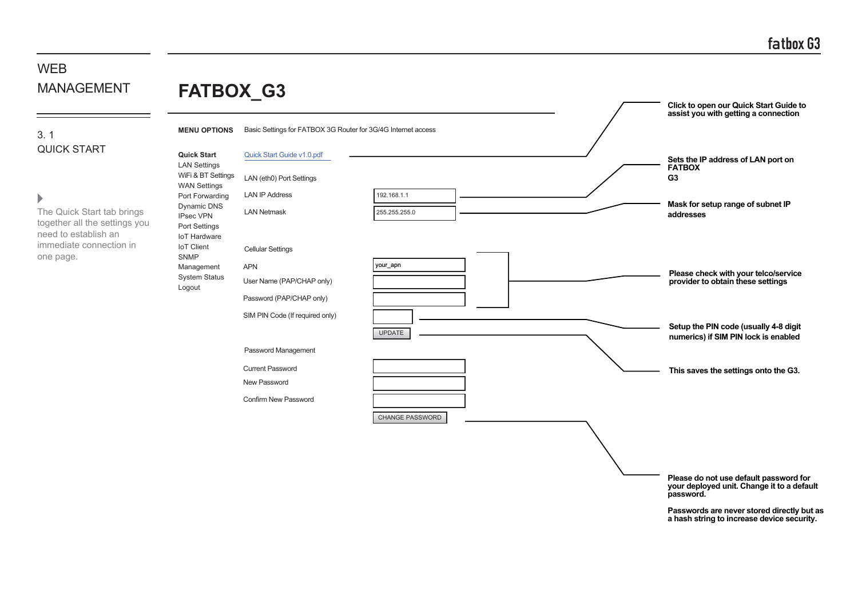### 3. 1 QUICK START

### $\blacktriangleright$

 $=$ 

The Quick Start tab brings together all the settings yo need to establish an immediate connection in one page.

| <b>NAGEMENT</b>                                                        | FATBOX_G3                                                                                  |                                                                                                 |                              |  | Click to open our Quick Start Guide to                                               |
|------------------------------------------------------------------------|--------------------------------------------------------------------------------------------|-------------------------------------------------------------------------------------------------|------------------------------|--|--------------------------------------------------------------------------------------|
|                                                                        | <b>MENU OPTIONS</b>                                                                        | Basic Settings for FATBOX 3G Router for 3G/4G Internet access                                   |                              |  | assist you with getting a connection                                                 |
| CK START                                                               | <b>Quick Start</b><br><b>LAN Settings</b><br>WiFi & BT Settings<br><b>WAN Settings</b>     | Quick Start Guide v1.0.pdf<br>LAN (eth0) Port Settings                                          |                              |  | Sets the IP address of LAN port on<br><b>FATBOX</b><br>G <sub>3</sub>                |
| Quick Start tab brings<br>ther all the settings you<br>to establish an | Port Forwarding<br>Dynamic DNS<br><b>IPsec VPN</b><br>Port Settings<br><b>IoT Hardware</b> | <b>LAN IP Address</b><br><b>LAN Netmask</b>                                                     | 192.168.1.1<br>255.255.255.0 |  | Mask for setup range of subnet IP<br>addresses                                       |
| ediate connection in<br>page.                                          | <b>IoT</b> Client<br><b>SNMP</b><br>Management<br>System Status<br>Logout                  | <b>Cellular Settings</b><br><b>APN</b><br>User Name (PAP/CHAP only)<br>Password (PAP/CHAP only) | your_apn                     |  | Please check with your telco/service<br>provider to obtain these settings            |
|                                                                        |                                                                                            | SIM PIN Code (If required only)                                                                 | <b>UPDATE</b>                |  | Setup the PIN code (usually 4-8 digit<br>numerics) if SIM PIN lock is enabled        |
|                                                                        |                                                                                            | Password Management<br><b>Current Password</b><br>New Password<br>Confirm New Password          |                              |  | This saves the settings onto the G3.                                                 |
|                                                                        |                                                                                            |                                                                                                 | <b>CHANGE PASSWORD</b>       |  | Please do not use default password for<br>your deployed unit. Change it to a default |
|                                                                        |                                                                                            |                                                                                                 |                              |  | password.                                                                            |

**Passwords are never stored directly but as a hash string to increase device security.**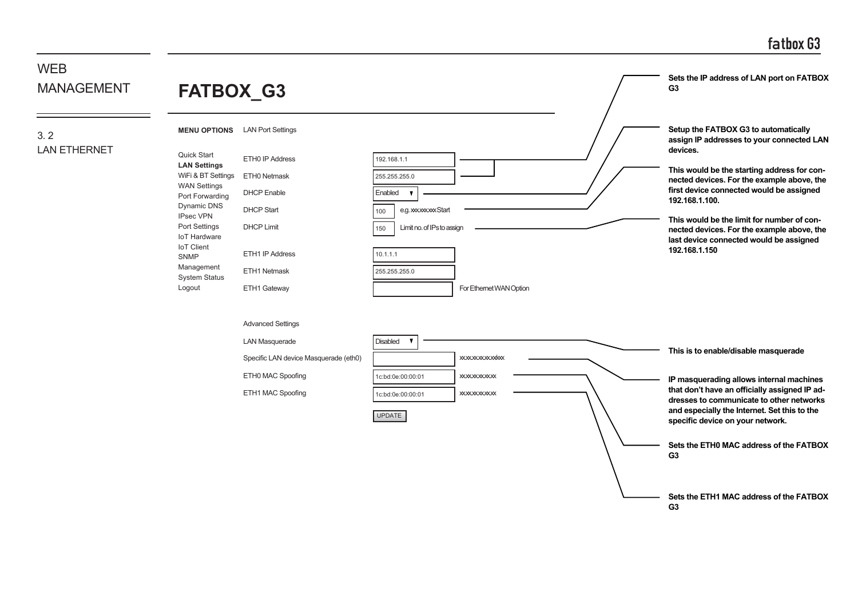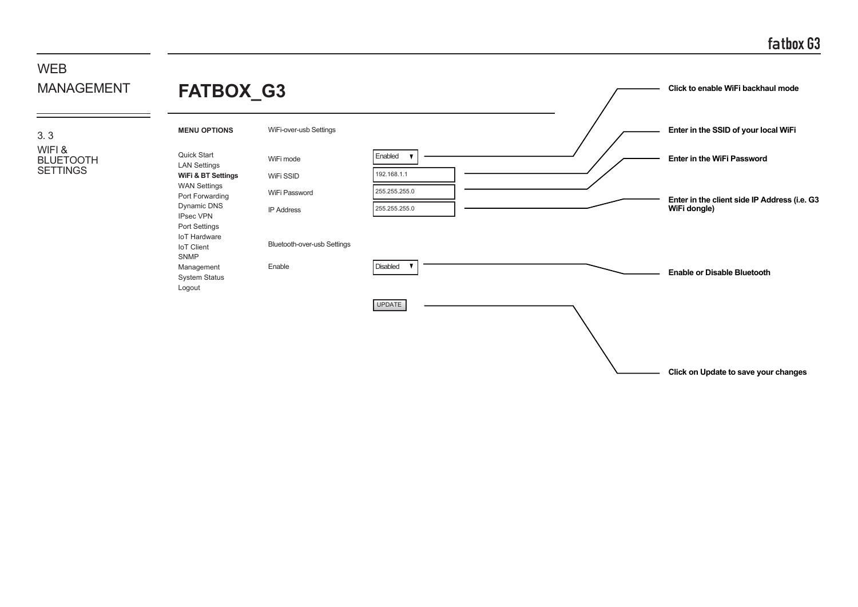**Click on Update to save your changes**

#### WEB MANAGEMENT **FATBOX\_G3 Click to enable WiFi backhaul mode MENU OPTIONS** WiFi-over-usb Settings **Enter in the SSID of your local WiFi** 3. 3 WIFI & Quick Start Enabled x BLUETOOTH WiFi mode **Enter in the WiFi Password** LAN Settings **SETTINGS** WiFi SSID 192.168.1.1 **WiFi & BT Settings** WAN Settings 255.255.255.0 WiFi Password Port Forwarding **Enter in the client side IP Address (i.e. G3** Dynamic DNS 255.255.0 IP Address **WiFi dongle)** IPsec VPN Port Settings IoT Hardware Bluetooth-over-usb Settings IoT Client SNMP Enable **Disabled** Management  $\blacksquare$ **Enable or Disable Bluetooth** System Status LogoutUPDATE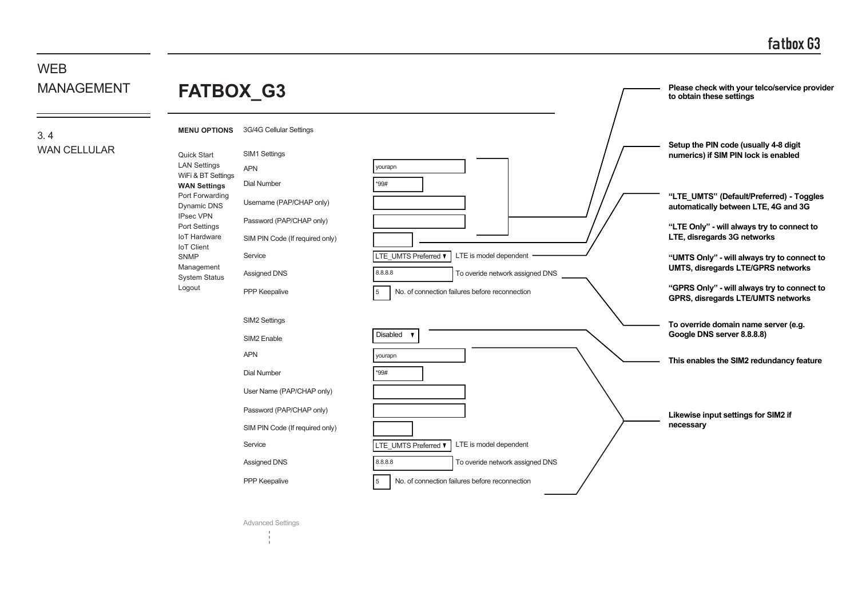#### **WFB** MANAGEMENT 3. 4 WAN CELLULAR 3G/4G Cellular Settings SIM1 Settings SIM2 Settings \*99# \*99# yourapn yourapn  $\mathsf{I}_5$ 5 8.8.8.8 8.8.8.8 APN APN SIM2 Enable Username (PAP/CHAP only) User Name (PAP/CHAP only) Password (PAP/CHAP only) Password (PAP/CHAP only) SIM PIN Code (If required only) SIM PIN Code (If required only) Dial Number Dial Number PPP Keepalive PPP Keepalive Service Service Assigned DNS Assigned DNS **Please check with your telco/service provider to obtain these settings Likewise input settings for SIM2 if necessary "LTE\_UMTS" (Default/Preferred) - Toggles automatically between LTE, 4G and 3G "LTE Only" - will always try to connect to LTE, disregards 3G networks "UMTS Only" - will always try to connect to UMTS, disregards LTE/GPRS networks "GPRS Only" - will always try to connect to GPRS, disregards LTE/UMTS networks Setup the PIN code (usually 4-8 digit numerics) if SIM PIN lock is enabled To override domain name server (e.g. Google DNS server 8.8.8.8) This enables the SIM2 redundancy feature** No. of connection failures before reconnection No. of connection failures before reconnection LTE is model dependent LTE is model dependent To overide network assigned DNS To overide network assigned DNS LTE\_UMTS Preferred V **LTE\_UMTS Preferred V** Disabled **FATBOX\_G3 MENU OPTIONS** Quick Start LAN Settings WiFi & BT Settings **WAN Settings** Port Forwarding Dynamic DNS IPsec VPN Port Settings IoT Hardware IoT Client SNMP Management System Status Logout

Advanced Settings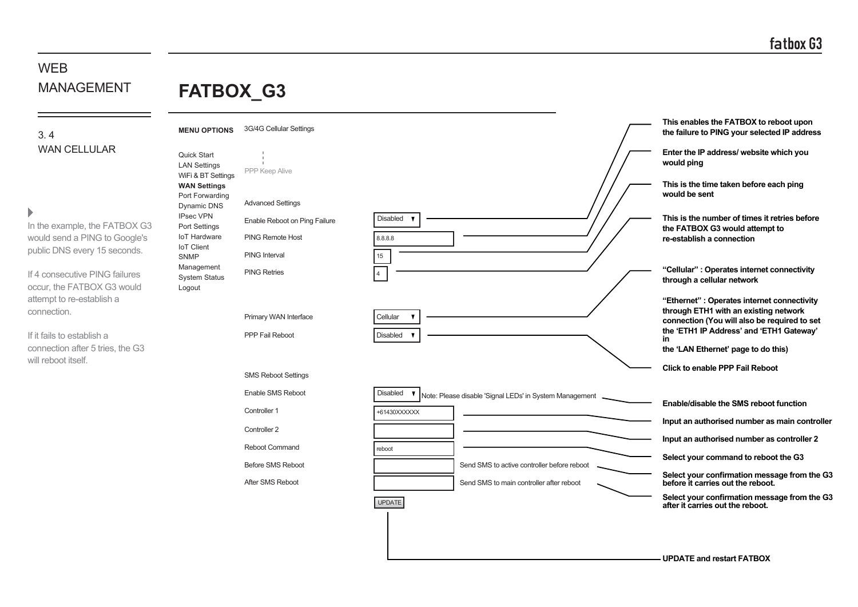**FATBOX\_G3**

3. 4 WAN CELLULAR

### $\mathbf{r}$

In the example, the FATBOX G3 would send a PING to Google's public DNS every 15 seconds.

If 4 consecutive PING failures occur, the FATBOX G3 would attempt to re-establish a connection.

If it fails to establish a connection after 5 tries, the G3 will reboot itself.

| <b>MENU OPTIONS</b>                                          | 3G/4G Cellular Settings       |                                                                                     | This enables the FATBOX to reboot upon<br>the failure to PING your selected IP address |
|--------------------------------------------------------------|-------------------------------|-------------------------------------------------------------------------------------|----------------------------------------------------------------------------------------|
| Quick Start<br><b>LAN Settings</b>                           | PPP Keep Alive                |                                                                                     | Enter the IP address/ website which you<br>would ping                                  |
| WiFi & BT Settings<br><b>WAN Settings</b><br>Port Forwarding |                               |                                                                                     | This is the time taken before each ping<br>would be sent                               |
| Dynamic DNS                                                  | <b>Advanced Settings</b>      |                                                                                     |                                                                                        |
| <b>IPsec VPN</b><br>Port Settings                            | Enable Reboot on Ping Failure | Disabled                                                                            | This is the number of times it retries before<br>the FATBOX G3 would attempt to        |
| <b>IoT Hardware</b><br><b>IoT</b> Client                     | <b>PING Remote Host</b>       | 8.8.8.8                                                                             | re-establish a connection                                                              |
| <b>SNMP</b>                                                  | <b>PING Interval</b>          | 15                                                                                  |                                                                                        |
| Management<br><b>System Status</b><br>Logout                 | <b>PING Retries</b>           | 4                                                                                   | "Cellular": Operates internet connectivity<br>through a cellular network               |
|                                                              |                               |                                                                                     | "Ethernet" : Operates internet connectivity                                            |
|                                                              | Primary WAN Interface         | Cellular<br>$\mathbf{v}$                                                            | through ETH1 with an existing network<br>connection (You will also be required to set  |
|                                                              | <b>PPP Fail Reboot</b>        | <b>Disabled</b><br>$\overline{\mathbf{v}}$                                          | the 'ETH1 IP Address' and 'ETH1 Gateway'<br>in                                         |
|                                                              |                               |                                                                                     | the 'LAN Ethernet' page to do this)                                                    |
|                                                              | <b>SMS Reboot Settings</b>    |                                                                                     | <b>Click to enable PPP Fail Reboot</b>                                                 |
|                                                              |                               |                                                                                     |                                                                                        |
|                                                              | Enable SMS Reboot             | Disabled<br>$\mathbf{v}$<br>Note: Please disable 'Signal LEDs' in System Management | Enable/disable the SMS reboot function                                                 |
|                                                              | Controller 1                  | +61430XXXXXX                                                                        |                                                                                        |
|                                                              | Controller 2                  |                                                                                     | Input an authorised number as main controller                                          |
|                                                              | Reboot Command                | reboot                                                                              | Input an authorised number as controller 2                                             |
|                                                              | <b>Before SMS Reboot</b>      | Send SMS to active controller before reboot                                         | Select your command to reboot the G3                                                   |
|                                                              | After SMS Reboot              | Send SMS to main controller after reboot                                            | Select your confirmation message from the G3<br>before it carries out the reboot.      |
|                                                              |                               | <b>UPDATE</b>                                                                       | Select your confirmation message from the G3<br>after it carries out the reboot.       |
|                                                              |                               |                                                                                     |                                                                                        |
|                                                              |                               |                                                                                     |                                                                                        |
|                                                              |                               |                                                                                     |                                                                                        |

**UPDATE and restart FATBOX**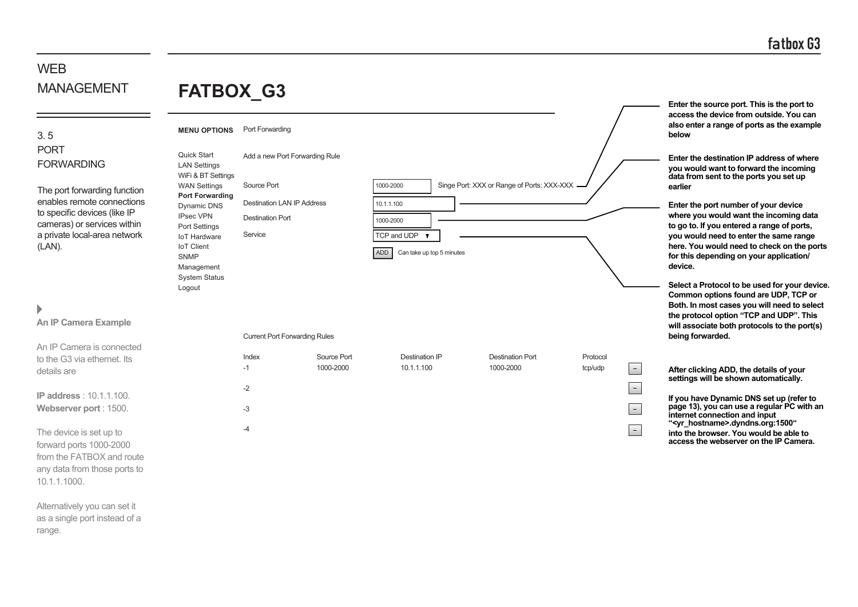**Enter the source port. This is the port to access the device from outside. You can also enter a range of ports as the example**

**Enter the destination IP address of where you would want to forward the incoming data from sent to the ports you set up**

**below**

**earlier**

# WEB MANAGEMENT

# **FATBOX\_G3**

Quick Start LAN Settings WiFi & BT Settings WAN Settings

**MENU OPTIONS** Port Forwarding

Add a new Port Forwarding Rule

3. 5 PORT FORWARDING

The port forwarding function enables remote connections to specific devices (like IP cameras) or services within a private local-area network  $(L)$ 

# $\blacktriangleright$

| THE DUIT IOI WAI UIHU TUHUUH<br>enables remote connections<br>to specific devices (like IP<br>cameras) or services within<br>a private local-area network<br>(LAN). | <b>Port Forwarding</b><br>Dynamic DNS<br><b>IPsec VPN</b><br>Port Settings<br><b>IoT Hardware</b><br><b>IoT Client</b><br><b>SNMP</b><br>Management<br><b>System Status</b><br>Logout | <b>Destination LAN IP Address</b><br><b>Destination Port</b><br>Service |                          | 10.1.1.100<br>1000-2000<br>TCP and UDP<br>ADD<br>Can take up top 5 minutes |                                      |                                 | Enter the port number of your device<br>where you would want the incoming data<br>to go to. If you entered a range of ports,<br>you would need to enter the same range<br>here. You would need to check on the ports<br>for this depending on your application/<br>device.<br>Select a Protocol to be used for your device.<br>Common options found are UDP, TCP or |
|---------------------------------------------------------------------------------------------------------------------------------------------------------------------|---------------------------------------------------------------------------------------------------------------------------------------------------------------------------------------|-------------------------------------------------------------------------|--------------------------|----------------------------------------------------------------------------|--------------------------------------|---------------------------------|---------------------------------------------------------------------------------------------------------------------------------------------------------------------------------------------------------------------------------------------------------------------------------------------------------------------------------------------------------------------|
| Þ<br>An IP Camera Example                                                                                                                                           |                                                                                                                                                                                       |                                                                         |                          |                                                                            |                                      |                                 | Both. In most cases you will need to select<br>the protocol option "TCP and UDP". This<br>will associate both protocols to the port(s)                                                                                                                                                                                                                              |
|                                                                                                                                                                     |                                                                                                                                                                                       | <b>Current Port Forwarding Rules</b>                                    |                          |                                                                            |                                      |                                 | being forwarded.                                                                                                                                                                                                                                                                                                                                                    |
| An IP Camera is connected<br>to the G3 via ethernet. Its<br>details are                                                                                             |                                                                                                                                                                                       | Index<br>$-1$                                                           | Source Port<br>1000-2000 | <b>Destination IP</b><br>10.1.1.100                                        | <b>Destination Port</b><br>1000-2000 | Protocol<br>$\equiv$<br>tcp/udp | After clicking ADD, the details of your                                                                                                                                                                                                                                                                                                                             |
| <b>IP address: 10.1.1.100.</b>                                                                                                                                      |                                                                                                                                                                                       | $-2$                                                                    |                          |                                                                            |                                      | $\equiv$                        | settings will be shown automatically.<br>If you have Dynamic DNS set up (refer to                                                                                                                                                                                                                                                                                   |
| Webserver port: 1500.                                                                                                                                               |                                                                                                                                                                                       | $-3$                                                                    |                          |                                                                            |                                      | $\equiv$                        | page 13), you can use a regular PC with an<br>internet connection and input                                                                                                                                                                                                                                                                                         |
| The device is set up to<br>forward ports 1000-2000<br>from the FATBOX and route<br>any data from those ports to                                                     |                                                                                                                                                                                       | $-4$                                                                    |                          |                                                                            |                                      | $\overline{\phantom{a}}$        | " <yr_hostname>.dyndns.org:1500"<br/>into the browser. You would be able to<br/>access the webserver on the IP Camera.</yr_hostname>                                                                                                                                                                                                                                |

1000-2000

Source Port Source Port Singe Port: XXX or Range of Ports: XXX-XXX

Alternatively you can set it as a single port instead of a range.

10.1.1.1000.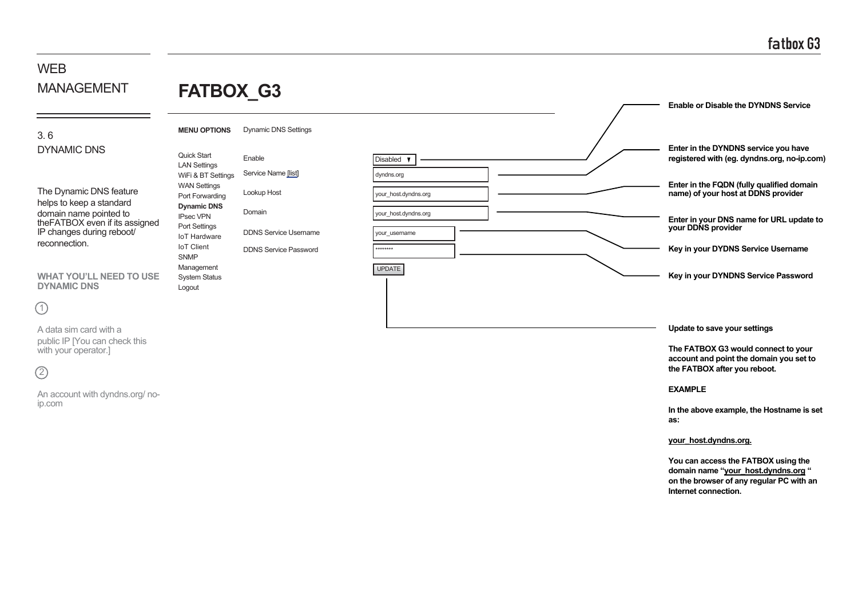# **FATBOX\_G3**

### 3. 6 DYNAMIC DNS

The Dynamic DNS feature helps to keep a standard domain name pointed to theFATBOX even if its assigned IP changes during reboot/ reconnection.

**WHAT YOU'LL NEED TO USE DYNAMIC DNS**

# $(1)$

A data sim card with a public IP [You can check this with your operator.]

# $(2)$

An account with dyndns.org/ noip.com

#### Dynamic DNS Settings Service Name [list] Lookup Host Domain DDNS Service Password DDNS Service Username **MENU OPTIONS** Quick Start LAN Settings WiFi & BT Settings WAN Settings Port Forwarding **Dynamic DNS** IPsec VPN Port Settings IoT Hardware IoT Client SNMP Management

System Status Logout



**EXAMPLE**

**In the above example, the Hostname is set as:**

#### **your\_host.dyndns.org.**

**You can access the FATBOX using the domain name "your\_host.dyndns.org " on the browser of any regular PC with an Internet connection.**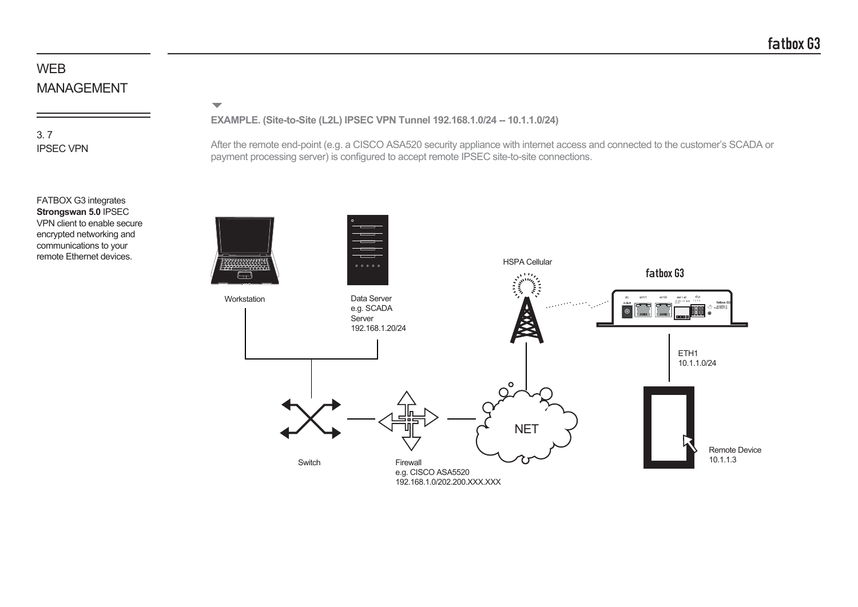$\overline{\phantom{0}}$ 

## 3. 7 IPSEC VPN

**EXAMPLE. (Site-to-Site (L2L) IPSEC VPN Tunnel 192.168.1.0/24 -- 10.1.1.0/24)**

After the remote end-point (e.g. a CISCO ASA520 security appliance with internet access and connected to the customer's SCADA or payment processing server) is configured to accept remote IPSEC site-to-site connections.



FATBOX G3 integrates **Strongswan 5.0** IPSEC VPN client to enable secure encrypted networking and communications to your remote Ethernet devices.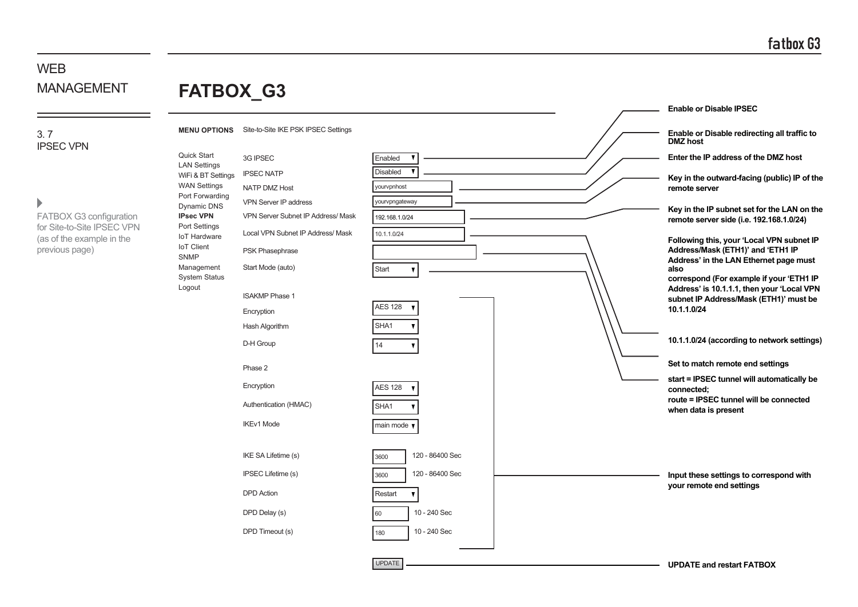# **FATBOX\_G3**

3. 7 IPSEC VPN

 $\blacktriangleright$ 

 $\equiv$ 

FATBOX G3 configuration for Site-to-Site IPSEC VPN (as of the example in the previous page)

| <b>FAIBUX_G3</b>                          |                                     |                         |                                                                                        |
|-------------------------------------------|-------------------------------------|-------------------------|----------------------------------------------------------------------------------------|
|                                           |                                     |                         | <b>Enable or Disable IPSEC</b>                                                         |
| <b>MENU OPTIONS</b>                       | Site-to-Site IKE PSK IPSEC Settings |                         | Enable or Disable redirecting all traffic to<br><b>DMZ</b> host                        |
| Quick Start                               | 3G IPSEC                            | Enabled                 | Enter the IP address of the DMZ host                                                   |
| <b>LAN Settings</b><br>WiFi & BT Settings | <b>IPSEC NATP</b>                   | <b>Disabled</b>         | Key in the outward-facing (public) IP of the                                           |
| <b>WAN Settings</b><br>Port Forwarding    | <b>NATP DMZ Host</b>                | vourvpnhost             | remote server                                                                          |
| Dynamic DNS                               | VPN Server IP address               | yourvpngateway          | Key in the IP subnet set for the LAN on the                                            |
| <b>IPsec VPN</b><br>Port Settings         | VPN Server Subnet IP Address/ Mask  | 192.168.1.0/24          | remote server side (i.e. 192.168.1.0/24)                                               |
| <b>IoT Hardware</b>                       | Local VPN Subnet IP Address/ Mask   | 10.1.1.0/24             | Following this, your 'Local VPN subnet IP                                              |
| <b>IoT</b> Client<br><b>SNMP</b>          | PSK Phasephrase                     |                         | Address/Mask (ETH1)' and 'ETH1 IP                                                      |
| Management                                | Start Mode (auto)                   | Start<br>$\mathbf{v}$   | Address' in the LAN Ethernet page must<br>also                                         |
| <b>System Status</b><br>Logout            |                                     |                         | correspond (For example if your 'ETH1 IP<br>Address' is 10.1.1.1, then your 'Local VPN |
|                                           | <b>ISAKMP Phase 1</b>               | <b>AES 128</b>          | subnet IP Address/Mask (ETH1)' must be                                                 |
|                                           | Encryption                          |                         | 10.1.1.0/24                                                                            |
|                                           | Hash Algorithm                      | SHA1                    |                                                                                        |
|                                           | D-H Group                           | 14                      | 10.1.1.0/24 (according to network settings)                                            |
|                                           | Phase 2                             |                         | Set to match remote end settings                                                       |
|                                           | Encryption                          | <b>AES 128</b>          | start = IPSEC tunnel will automatically be<br>connected:                               |
|                                           | Authentication (HMAC)               | SHA1                    | route = IPSEC tunnel will be connected<br>when data is present                         |
|                                           | <b>IKEv1 Mode</b>                   | main mode v             |                                                                                        |
|                                           |                                     |                         |                                                                                        |
|                                           | IKE SA Lifetime (s)                 | 120 - 86400 Sec<br>3600 |                                                                                        |
|                                           | <b>IPSEC Lifetime (s)</b>           | 120 - 86400 Sec<br>3600 | Input these settings to correspond with                                                |
|                                           | <b>DPD</b> Action                   | Restart<br>$\mathbf{v}$ | your remote end settings                                                               |
|                                           | DPD Delay (s)                       | 10 - 240 Sec<br>60      |                                                                                        |
|                                           | DPD Timeout (s)                     | 10 - 240 Sec<br>180     |                                                                                        |
|                                           |                                     |                         |                                                                                        |
|                                           |                                     | <b>UPDATE</b>           | <b>UPDATE and restart FATBOX</b>                                                       |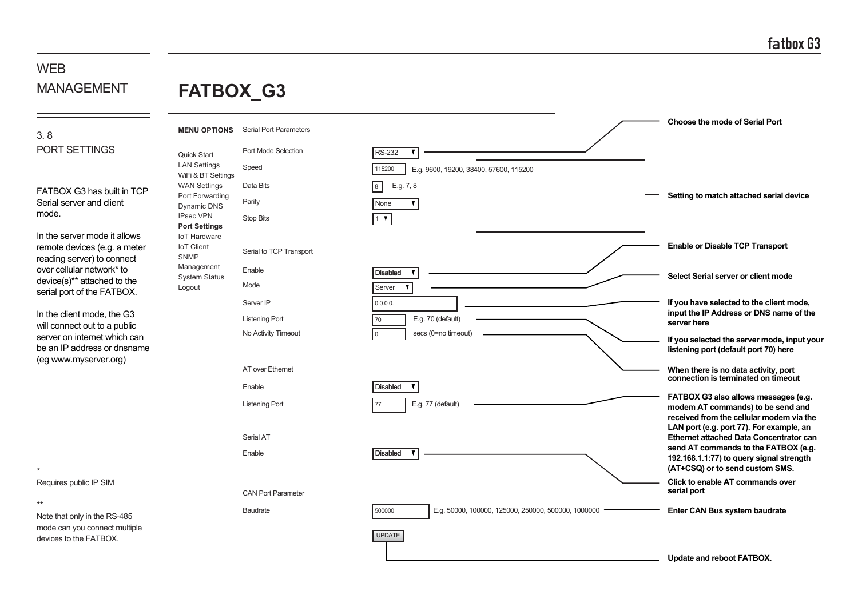# **W<sub>FR</sub>** MANAGEMENT

# **FATBOX\_G3**

### 3. 8 PORT SETTINGS

FATBOX G3 has built in TCP Serial server and client mode.

In the server mode it allows remote devices (e.g. a meter reading server) to connect over cellular network\* to device(s)\*\* attached to the serial port of the FATBOX.

In the client mode, the G3 will connect out to a public server on internet which can be an IP address or dnsname (eg www.myserver.org)

\*

\*\*

Requires public IP SIM

Note that only in the RS-485

devices to the FATBOX.

**Choose the mode of Serial Port MENU OPTIONS** Serial Port Parameters Port Mode Selection RS-232  $\mathbf{r}$ Quick Start LAN Settings Speed 115200 E.g. 9600, 19200, 38400, 57600, 115200 WiFi & BT Settings WAN Settings 8 E.g. 7, 8 Data Bits Port Forwarding **Setting to match attached serial device** Parity **None** Dynamic DNS IPsec VPN Stop Bits  $1\sqrt{ }$ **Port Settings** IoT Hardware **Enable or Disable TCP Transport** IoT Client Serial to TCP Transport SNMP Management Enable **Disabled Select Serial server or client mode** System Status Mode LogoutServer Server IP  $0.0.0.0$ **If you have selected to the client mode, input the IP Address or DNS name of the** Listening Port E.g. 70 (default) 70 **server here** No Activity Timeout secs (0=no timeout) 0 **If you selected the server mode, input your listening port (default port 70) here** AT over Ethernet **When there is no data activity, port connection is terminated on timeout** Enable **Disabled FATBOX G3 also allows messages (e.g.** Listening Port E.g. 77 (default) 77 **modem AT commands) to be send and received from the cellular modem via the LAN port (e.g. port 77). For example, an** Serial AT **Ethernet attached Data Concentrator can send AT commands to the FATBOX (e.g.** Enable **Disabled 192.168.1.1:77) to query signal strength (AT+CSQ) or to send custom SMS. Click to enable AT commands over serial port** CAN Port Parameter Baudrate 500000 E.g. 50000, 100000, 125000, 250000, 500000, 1000000 **Enter CAN Bus system baudrate** mode can you connect multiple UPDATE **Update and reboot FATBOX.**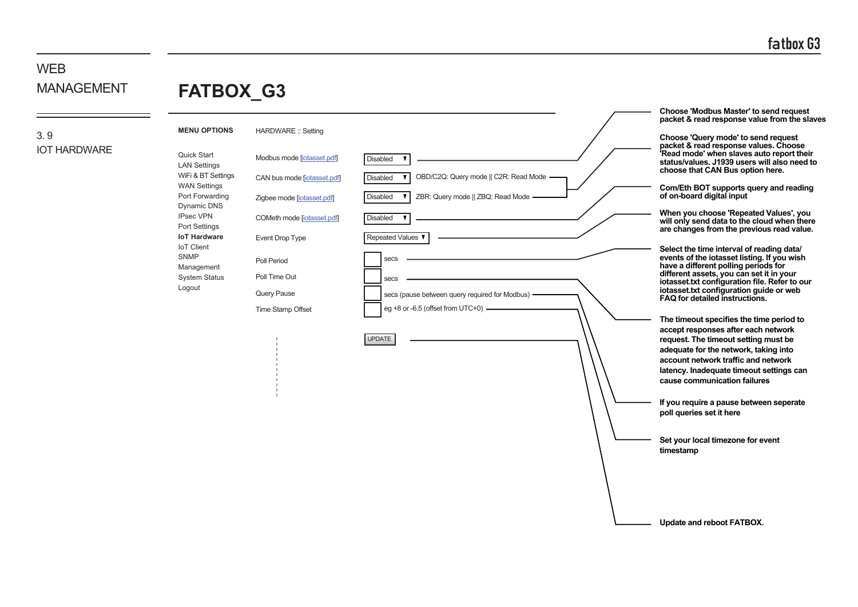**Choose 'Modbus Master' to send request packet & read response value from the slaves**

# WEB MANAGEMENT

# **FATBOX\_G3**

### 3. 9 IOT HARDWARE

| <b>MENU OPTIONS</b>                       | <b>HARDWARE: Setting</b>    |                                                          |                                                                                                                                                                                                              |
|-------------------------------------------|-----------------------------|----------------------------------------------------------|--------------------------------------------------------------------------------------------------------------------------------------------------------------------------------------------------------------|
| Quick Start<br><b>LAN Settings</b>        | Modbus mode [jotasset.pdf]  | Disabled                                                 | Choose 'Query mode' to send request<br>packet & read response values. Choose<br>Read mode' when slaves auto report their<br>status/values. J1939 users will also need to<br>choose that CAN Bus option here. |
| WiFi & BT Settings<br><b>WAN Settings</b> | CAN bus mode [iotasset.pdf] | OBD/C2Q: Query mode    C2R: Read Mode<br><b>Disabled</b> | Com/Eth BOT supports query and reading                                                                                                                                                                       |
| Port Forwarding<br>Dynamic DNS            | Zigbee mode [iotasset.pdf]  | Disabled<br>ZBR: Query mode    ZBQ: Read Mode -          | of on-board digital input                                                                                                                                                                                    |
| <b>IPsec VPN</b><br>Port Settings         | COMeth mode [jotasset.pdf]  | Disabled                                                 | When you choose 'Repeated Values', you<br>will only send data to the cloud when there<br>are changes from the previous read value.                                                                           |
| <b>IoT Hardware</b><br><b>IoT Client</b>  | Event Drop Type             | Repeated Values                                          | Select the time interval of reading data/                                                                                                                                                                    |
| <b>SNMP</b><br>Management                 | Poll Period                 | secs                                                     | events of the iotasset listing. If you wish<br>have a different polling periods for                                                                                                                          |
| <b>System Status</b><br>Logout            | Poll Time Out               | secs                                                     | different assets, you can set it in your<br>iotasset.txt configuration file. Refer to our                                                                                                                    |
|                                           | Query Pause                 | secs (pause between query required for Modbus)           | iotasset.txt configuration guide or web<br>FAQ for detailed instructions.                                                                                                                                    |
|                                           | Time Stamp Offset           | eg +8 or -6.5 (offset from UTC+0) -                      | The timeout specifies the time period to<br>accept responses after each network                                                                                                                              |
|                                           |                             | <b>UPDATE</b>                                            | request. The timeout setting must be<br>adequate for the network, taking into                                                                                                                                |
|                                           |                             |                                                          | account network traffic and network                                                                                                                                                                          |
|                                           |                             |                                                          | latency. Inadequate timeout settings can<br>cause communication failures                                                                                                                                     |
|                                           |                             |                                                          | If you require a pause between seperate<br>poll queries set it here                                                                                                                                          |
|                                           |                             |                                                          | Set your local timezone for event<br>timestamp                                                                                                                                                               |
|                                           |                             |                                                          |                                                                                                                                                                                                              |
|                                           |                             |                                                          |                                                                                                                                                                                                              |
|                                           |                             |                                                          | Update and reboot FATBOX.                                                                                                                                                                                    |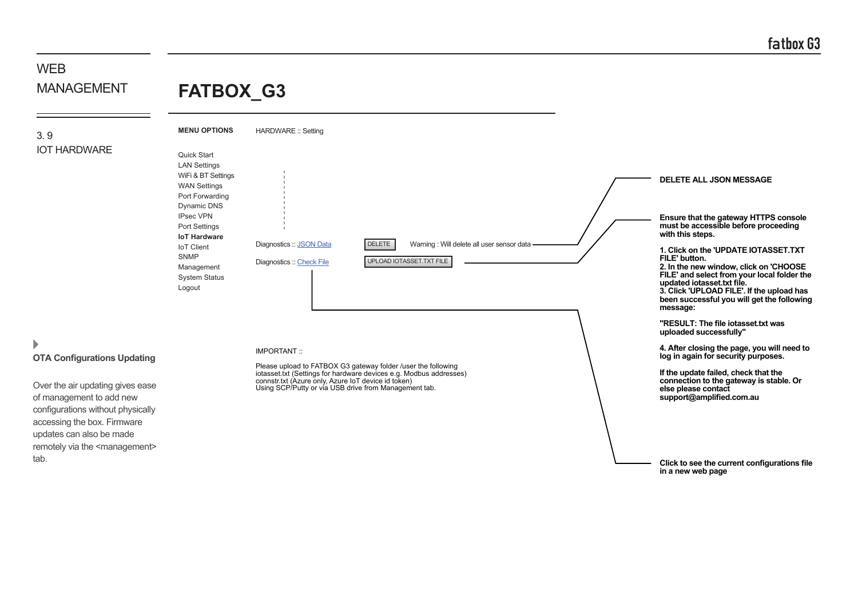#### **WFB** MANAGEMENT **FATBOX\_G3**

3. 9

IOT HARDWARE

**MENU OPTIONS** Quick Start LAN Settings WiFi & BT Settings WAN Settings Port Forwarding Dynamic DNS IPsec VPN Port Settings **IoT Hardware** IoT Client SNMP Management System Status Logout HARDWARE :: Setting Diagnostics :: JSON Data Diagnostics :: Check File UPLOAD IOTASSET.TXT FILE



# **OTA Configurations Updating**

Over the air updating gives ease of management to add new configurations without physically accessing the box. Firmware updates can also be made remotely via the <management> tab.

#### IMPORTANT ::

Please upload to FATBOX G3 gateway folder /user the following iotasset.txt (Settings for hardware devices e.g. Modbus addresses) connstr.txt (Azure only, Azure IoT device id token) Using SCP/Putty or via USB drive from Management tab.

**Ensure that the gateway HTTPS console must be accessible before proceeding with this steps. 1. Click on the 'UPDATE IOTASSET.TXT FILE' button. 2. In the new window, click on 'CHOOSE FILE' and select from your local folder the updated iotasset.txt file. 3. Click 'UPLOAD FILE'. If the upload has been successful you will get the following message: "RESULT: The file iotasset.txt was uploaded successfully" 4. After closing the page, you will need to log in again for security purposes. If the update failed, check that the connection to the gateway is stable. Or else please contact support@amplified.com.au DELETE ALL JSON MESSAGE**

> **Click to see the current configurations file in a new web page**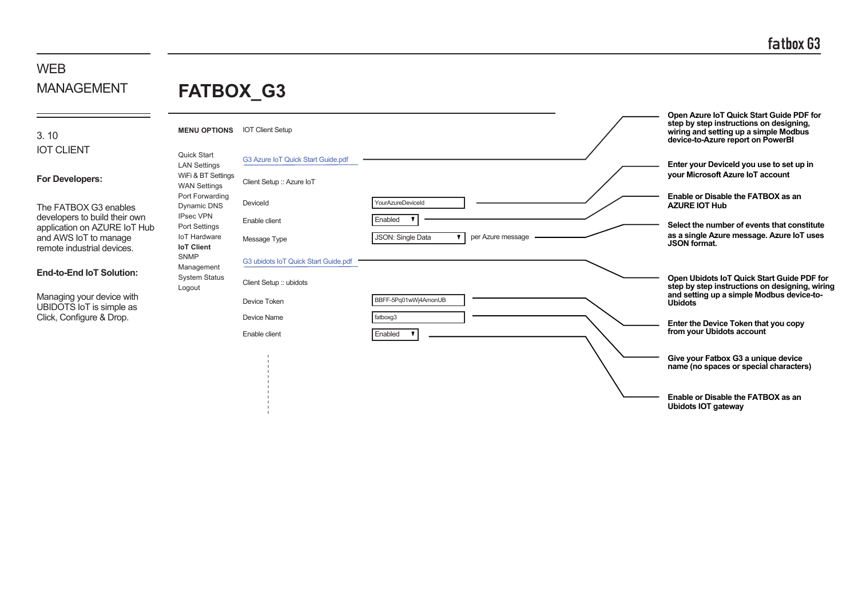# **FATBOX\_G3**

| 3.10 |                   |  |  |
|------|-------------------|--|--|
|      | <b>IOT CLIENT</b> |  |  |

#### **For Developers:**

The FATBOX G3 enables developers to build their own application on AZURE IoT Hub and AWS IoT to manage remote industrial devices.

#### **End-to-End IoT Solution:**

Managing your device with UBIDOTS IoT is simple as Click, Configure & Drop.

| <b>MENU OPTIONS</b>                                             | <b>IOT Client Setup</b>              |                                        | Open Azure IoT Quick Start Guide PDF for<br>step by step instructions on designing,<br>wiring and setting up a simple Modbus<br>device-to-Azure report on PowerBI |
|-----------------------------------------------------------------|--------------------------------------|----------------------------------------|-------------------------------------------------------------------------------------------------------------------------------------------------------------------|
| <b>Quick Start</b><br><b>LAN Settings</b><br>WiFi & BT Settings | G3 Azure IoT Quick Start Guide.pdf   |                                        | Enter your Deviceld you use to set up in<br>your Microsoft Azure IoT account                                                                                      |
| <b>WAN Settings</b>                                             | Client Setup :: Azure IoT            |                                        |                                                                                                                                                                   |
| Port Forwarding<br>Dynamic DNS                                  | DeviceId                             | YourAzureDeviceId                      | Enable or Disable the FATBOX as an<br><b>AZURE IOT Hub</b>                                                                                                        |
| <b>IPsec VPN</b><br>Port Settings                               | Enable client                        | Enabled                                | Select the number of events that constitute                                                                                                                       |
| <b>IoT Hardware</b><br><b>IoT Client</b>                        | Message Type                         | JSON: Single Data<br>per Azure message | as a single Azure message. Azure IoT uses<br><b>JSON</b> format.                                                                                                  |
| <b>SNMP</b><br>Management                                       | G3 ubidots IoT Quick Start Guide.pdf |                                        |                                                                                                                                                                   |
| <b>System Status</b><br>Logout                                  | Client Setup :: ubidots              |                                        | Open Ubidots IoT Quick Start Guide PDF for<br>step by step instructions on designing, wiring<br>and setting up a simple Modbus device-to-                         |
|                                                                 | Device Token                         | BBFF-5Pq01wWj4AmonUB                   | <b>Ubidots</b>                                                                                                                                                    |
|                                                                 | Device Name                          | fatboxg3                               | Enter the Device Token that you copy                                                                                                                              |
|                                                                 | Enable client                        | Enabled                                | from your Ubidots account                                                                                                                                         |
|                                                                 |                                      |                                        | Give your Fatbox G3 a unique device<br>name (no spaces or special characters)                                                                                     |
|                                                                 |                                      |                                        | Enable or Disable the FATBOX as an<br><b>Ubidots IOT gateway</b>                                                                                                  |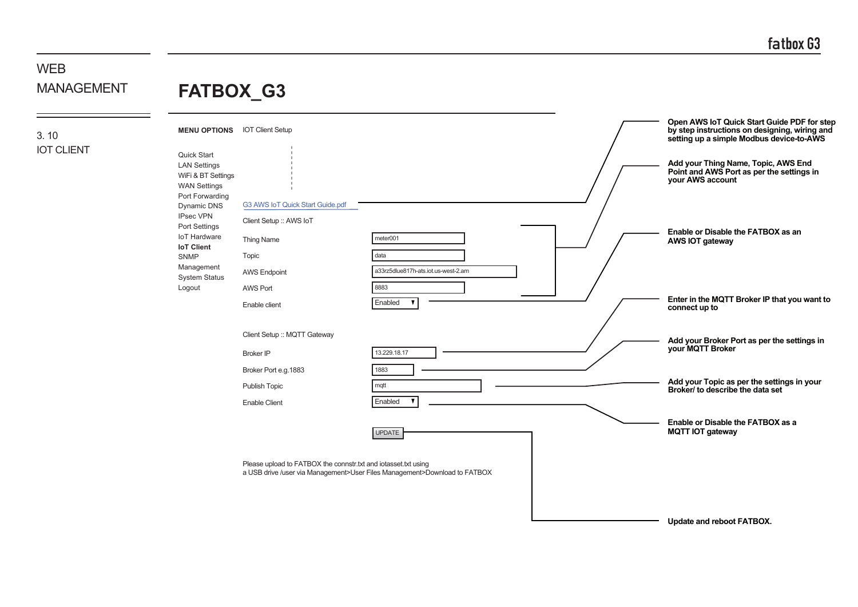# **FATBOX\_G3**

3. 10 IOT CLIENT

| <b>MENU OPTIONS</b>                                                                                | <b>IOT Client Setup</b>                                        |                                                                           | Open AWS IoT Quick Start Guide PDF for step<br>by step instructions on designing, wiring and<br>setting up a simple Modbus device-to-AWS |
|----------------------------------------------------------------------------------------------------|----------------------------------------------------------------|---------------------------------------------------------------------------|------------------------------------------------------------------------------------------------------------------------------------------|
| Quick Start<br><b>LAN Settings</b><br>WiFi & BT Settings<br><b>WAN Settings</b><br>Port Forwarding |                                                                |                                                                           | Add your Thing Name, Topic, AWS End<br>Point and AWS Port as per the settings in<br>your AWS account                                     |
| Dynamic DNS                                                                                        | G3 AWS IoT Quick Start Guide.pdf                               |                                                                           |                                                                                                                                          |
| <b>IPsec VPN</b><br>Port Settings                                                                  | Client Setup :: AWS IoT                                        |                                                                           |                                                                                                                                          |
| <b>IoT Hardware</b><br><b>IoT Client</b>                                                           | Thing Name                                                     | meter001                                                                  | Enable or Disable the FATBOX as an<br>AWS IOT gateway                                                                                    |
| <b>SNMP</b>                                                                                        | Topic                                                          | data                                                                      |                                                                                                                                          |
| Management<br><b>System Status</b>                                                                 | <b>AWS Endpoint</b>                                            | a33rz5dlue817h-ats.iot.us-west-2.am                                       |                                                                                                                                          |
| Logout                                                                                             | <b>AWS Port</b>                                                | 8883                                                                      |                                                                                                                                          |
|                                                                                                    | Enable client                                                  | Enabled<br>$\overline{\mathbf{v}}$                                        | Enter in the MQTT Broker IP that you want to<br>connect up to                                                                            |
|                                                                                                    |                                                                |                                                                           |                                                                                                                                          |
|                                                                                                    | Client Setup :: MQTT Gateway                                   |                                                                           | Add your Broker Port as per the settings in<br>your MQTT Broker                                                                          |
|                                                                                                    | <b>Broker IP</b>                                               | 13.229.18.17                                                              |                                                                                                                                          |
|                                                                                                    | Broker Port e.g.1883                                           | 1883                                                                      |                                                                                                                                          |
|                                                                                                    | Publish Topic                                                  | mqtt                                                                      | Add your Topic as per the settings in your<br>Broker/ to describe the data set                                                           |
|                                                                                                    | <b>Enable Client</b>                                           | $\mathbf{v}$<br>Enabled                                                   |                                                                                                                                          |
|                                                                                                    |                                                                | <b>UPDATE</b>                                                             | Enable or Disable the FATBOX as a<br><b>MQTT IOT gateway</b>                                                                             |
|                                                                                                    |                                                                |                                                                           |                                                                                                                                          |
|                                                                                                    | Please upload to FATBOX the connstr.txt and iotasset.txt using | a USB drive /user via Management>User Files Management>Download to FATBOX |                                                                                                                                          |
|                                                                                                    |                                                                |                                                                           |                                                                                                                                          |
|                                                                                                    |                                                                |                                                                           |                                                                                                                                          |
|                                                                                                    |                                                                |                                                                           | Update and reboot FATBOX.                                                                                                                |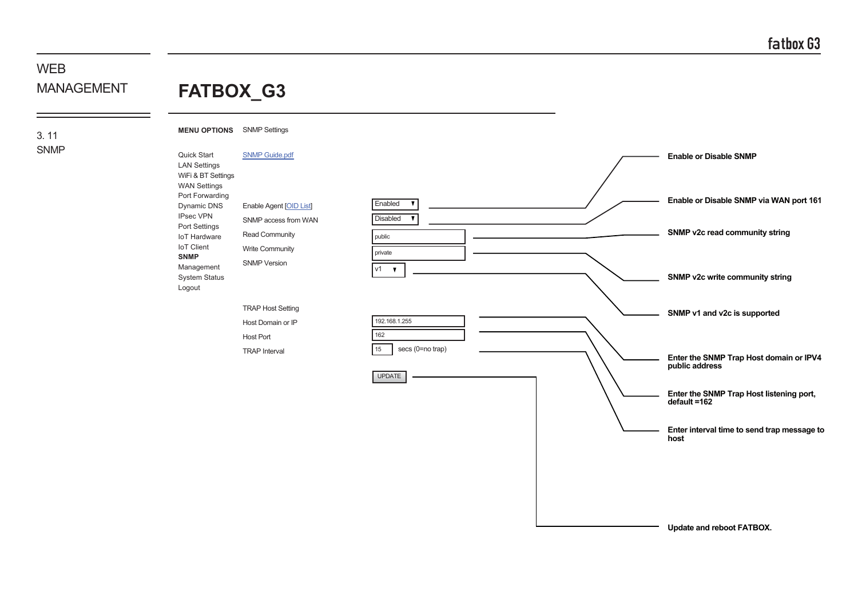### **FATBOX\_G3 WFB** MANAGEMENT

3. 11 SNMP **MENU OPTIONS** SNMP Settings



**Update and reboot FATBOX.**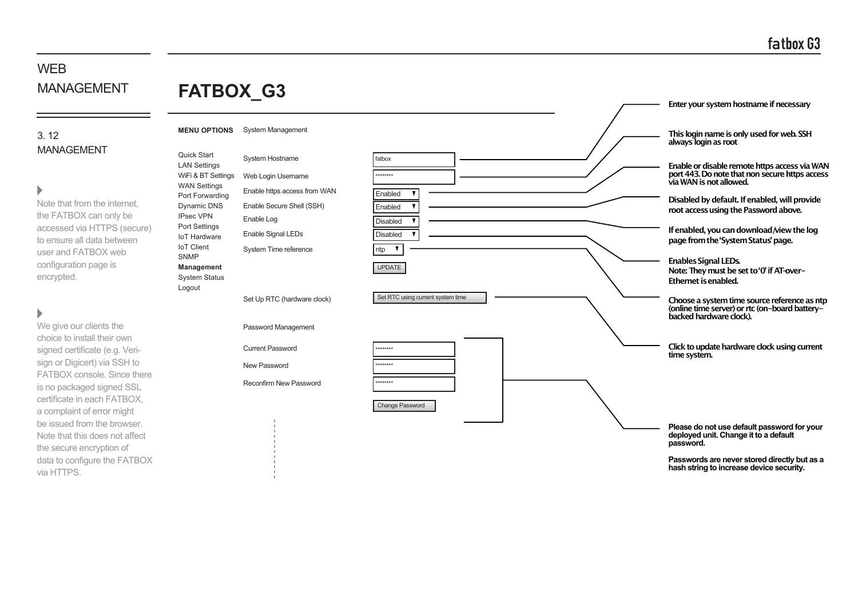# **FATBOX\_G3**

### 3. 12 MANAGEMENT

#### Ь

Note that from the internet, the FATBOX can only be accessed via HTTPS (secure) to ensure all data between user and FATBOX web configuration page is encrypted.

# $\blacktriangleright$

We give our clients the choice to install their own signed certificate (e.g. Verisign or Digicert) via SSH to FATBOX console. Since there is no packaged signed SSL certificate in each FATBOX, a complaint of error might be issued from the browser. Note that this does not affect the secure encryption of data to configure the FATBOX via HTTPS.

|                                              |                               |                                   | Enter your system hostname if necessary                                                                                   |
|----------------------------------------------|-------------------------------|-----------------------------------|---------------------------------------------------------------------------------------------------------------------------|
| <b>MENU OPTIONS</b>                          | <b>System Management</b>      |                                   | This login name is only used for web. SSH<br>always login as root                                                         |
| Quick Start<br><b>LAN Settings</b>           | <b>System Hostname</b>        | fatbox                            | Enable or disable remote https access via WAN                                                                             |
| WiFi & BT Settings<br><b>WAN Settings</b>    | Web Login Username            | ********                          | port 443. Do note that non secure https access<br>via WAN is not allowed.                                                 |
| Port Forwarding                              | Enable https access from WAN  | Enabled                           | Disabled by default. If enabled, will provide                                                                             |
| Dynamic DNS                                  | Enable Secure Shell (SSH)     | Enabled                           | root access using the Password above.                                                                                     |
| <b>IPsec VPN</b><br>Port Settings            | Enable Log                    | <b>Disabled</b>                   |                                                                                                                           |
| <b>IoT Hardware</b>                          | Enable Signal LEDs            | <b>Disabled</b>                   | If enabled, you can download/view the log<br>page from the 'System Status' page.                                          |
| <b>IoT</b> Client<br><b>SNMP</b>             | System Time reference         | ntp<br>▼                          |                                                                                                                           |
| Management<br><b>System Status</b><br>Logout |                               | <b>UPDATE</b>                     | <b>Enables Signal LEDs.</b><br>Note: They must be set to '0' if AT-over-<br><b>Ethernet is enabled.</b>                   |
|                                              | Set Up RTC (hardware clock)   | Set RTC using current system time | Choose a system time source reference as ntp<br>(online time server) or rtc (on-board battery-<br>backed hardware clock). |
|                                              | Password Management           |                                   |                                                                                                                           |
|                                              | <b>Current Password</b>       | ********                          | Click to update hardware clock using current<br>time system.                                                              |
|                                              | New Password                  | ********                          |                                                                                                                           |
|                                              | <b>Reconfirm New Password</b> | ********                          |                                                                                                                           |
|                                              |                               | <b>Change Password</b>            |                                                                                                                           |
|                                              |                               |                                   |                                                                                                                           |

**Please do not use default password for your deployed unit. Change it to a default password.**

**Passwords are never stored directly but as a hash string to increase device security.**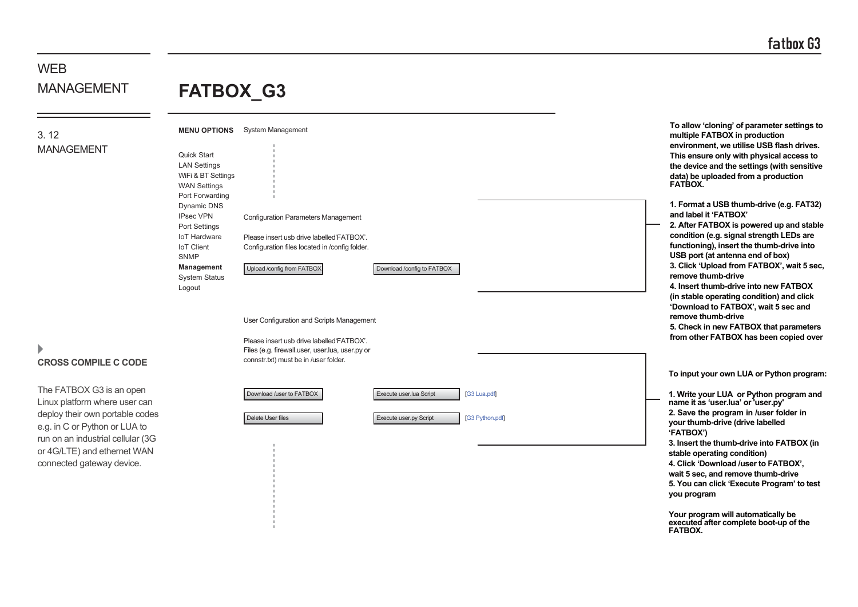**To allow 'cloning' of parameter settings to**

# WEB MANAGEMENT

# **FATBOX\_G3**

3. 12

MANAGEMENT

**CROSS COMPILE C CODE**

ь

The FATBOX G3 is an open Linux platform where user can deploy their own portable codes e.g. in C or Python or LUA to run on an industrial cellular (3G or 4G/LTE) and ethernet WAN connected gateway device.

| Quick Start<br><b>LAN Settings</b><br>WiFi & BT Settings<br><b>WAN Settings</b> | <b>MENU OPTIONS</b> System Management                                                                                                 |                            |                 | multiple FATBOX in production<br>environment, we utilise USB flash drives.<br>This ensure only with physical access to<br>the device and the settings (with sensitive<br>data) be uploaded from a production<br>FATBOX. |
|---------------------------------------------------------------------------------|---------------------------------------------------------------------------------------------------------------------------------------|----------------------------|-----------------|-------------------------------------------------------------------------------------------------------------------------------------------------------------------------------------------------------------------------|
| Port Forwarding<br>Dynamic DNS<br><b>IPsec VPN</b><br>Port Settings             | <b>Configuration Parameters Management</b>                                                                                            |                            |                 | 1. Format a USB thumb-drive (e.g. FAT32)<br>and label it 'FATBOX'<br>2. After FATBOX is powered up and stable                                                                                                           |
| <b>IoT Hardware</b><br><b>IoT</b> Client<br><b>SNMP</b>                         | Please insert usb drive labelled FATBOX'.<br>Configuration files located in /config folder.                                           |                            |                 | condition (e.g. signal strength LEDs are<br>functioning), insert the thumb-drive into<br>USB port (at antenna end of box)                                                                                               |
| <b>Management</b><br><b>System Status</b><br>Logout                             | Upload /config from FATBOX                                                                                                            | Download /config to FATBOX |                 | 3. Click 'Upload from FATBOX', wait 5 sec.<br>remove thumb-drive<br>4. Insert thumb-drive into new FATBOX<br>(in stable operating condition) and click<br>'Download to FATBOX', wait 5 sec and                          |
|                                                                                 | User Configuration and Scripts Management                                                                                             |                            |                 | remove thumb-drive<br>5. Check in new FATBOX that parameters<br>from other FATBOX has been copied over                                                                                                                  |
|                                                                                 | Please insert usb drive labelled FATBOX'.<br>Files (e.g. firewall.user, user.lua, user.py or<br>connstr.txt) must be in /user folder. |                            |                 |                                                                                                                                                                                                                         |
|                                                                                 |                                                                                                                                       |                            |                 | To input your own LUA or Python program:                                                                                                                                                                                |
|                                                                                 | Download /user to FATBOX                                                                                                              | Execute user.lua Script    | [G3 Lua.pdf]    | 1. Write your LUA or Python program and<br>name it as 'user.lua' or 'user.py'                                                                                                                                           |
|                                                                                 | Delete User files                                                                                                                     | Execute user.py Script     | [G3 Python.pdf] | 2. Save the program in /user folder in<br>your thumb-drive (drive labelled<br>'FATBOX')                                                                                                                                 |
|                                                                                 |                                                                                                                                       |                            |                 | 3. Insert the thumb-drive into FATBOX (in<br>stable operating condition)<br>4. Click 'Download /user to FATBOX',<br>wait 5 sec, and remove thumb-drive<br>5. You can click 'Execute Program' to test<br>you program     |

**Your program will automatically be executed after complete boot-up of the FATBOX.**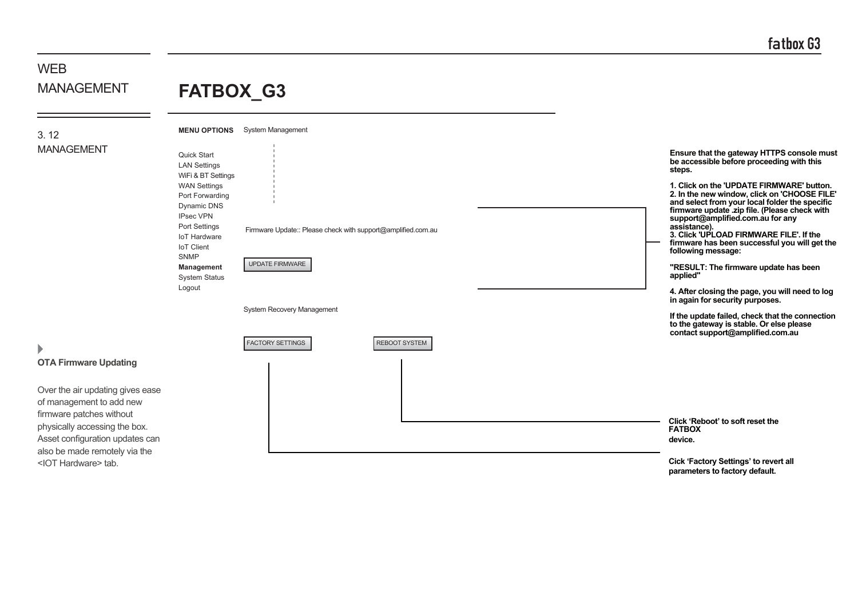#### **WFB** MANAGEMENT 3. 12 MANAGEMENT **MENU OPTIONS** System Management System Recovery Management Firmware Update:: Please check with support@amplified.com.au **Click 'Reboot' to soft reset the FATBOX device.** FACTORY SETTINGS UPDATE FIRMWARE REBOOT SYSTEM **OTA Firmware Updating** Over the air updating gives ease of management to add new firmware patches without physically accessing the box. Asset configuration updates can also be made remotely via the **FATBOX\_G3** Quick Start LAN Settings WiFi & BT Settings WAN Settings Port Forwarding Dynamic DNS IPsec VPN Port Settings IoT Hardware IoT Client SNMP **Management** System Status Logout **Ensure that the gateway HTTPS console must be accessible before proceeding with this steps. 1. Click on the 'UPDATE FIRMWARE' button. 2. In the new window, click on 'CHOOSE FILE' and select from your local folder the specific firmware update .zip file. (Please check with support@amplified.com.au for any assistance). 3. Click 'UPLOAD FIRMWARE FILE'. If the firmware has been successful you will get the following message: "RESULT: The firmware update has been applied" 4. After closing the page, you will need to log in again for security purposes. If the update failed, check that the connection to the gateway is stable. Or else please contact support@amplified.com.au**

<IOT Hardware> tab.

**Cick 'Factory Settings' to revert all parameters to factory default.**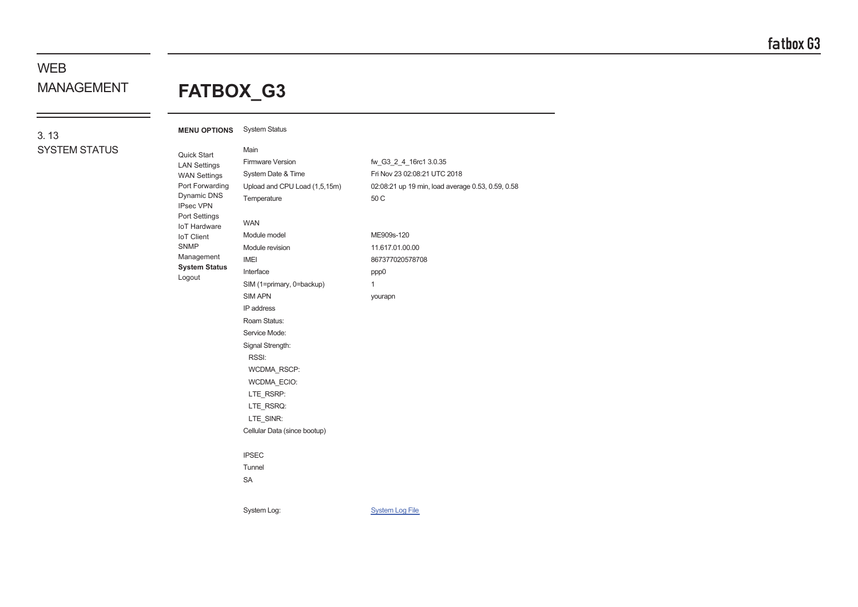# WEB

# MANAGEMENT **FATBOX\_G3**

### 3. 13 SYSTEM STATUS

| <b>MENU OPTIONS</b><br>Quick Start<br><b>LAN Settings</b><br><b>WAN Settings</b><br>Port Forwarding<br>Dynamic DNS<br><b>IPsec VPN</b><br>Port Settings<br><b>IoT Hardware</b><br><b>IoT</b> Client<br><b>SNMP</b><br>Management<br><b>System Status</b><br>Logout | <b>System Status</b><br>Main<br>Firmware Version<br>System Date & Time<br>Upload and CPU Load (1,5,15m)<br>Temperature<br><b>WAN</b><br>Module model<br>Module revision<br><b>IMEI</b><br>Interface<br>SIM (1=primary, 0=backup) | fw_G3_2_4_16rc1 3.0.35<br>Fri Nov 23 02:08:21 UTC 2018<br>02:08:21 up 19 min, load average 0.53, 0.59, 0.58<br>50 C<br>ME909s-120<br>11.617.01.00.00<br>867377020578708<br>ppp0<br>$\mathbf{1}$ |
|--------------------------------------------------------------------------------------------------------------------------------------------------------------------------------------------------------------------------------------------------------------------|----------------------------------------------------------------------------------------------------------------------------------------------------------------------------------------------------------------------------------|-------------------------------------------------------------------------------------------------------------------------------------------------------------------------------------------------|
|                                                                                                                                                                                                                                                                    | <b>SIM APN</b><br>IP address<br>Roam Status:<br>Service Mode:<br>Signal Strength:<br>RSSI:<br>WCDMA_RSCP:<br>WCDMA_ECIO:<br>LTE RSRP:<br>LTE_RSRQ:<br>LTE_SINR:<br>Cellular Data (since bootup)<br><b>IPSEC</b><br>Tunnel        | yourapn                                                                                                                                                                                         |
|                                                                                                                                                                                                                                                                    | <b>SA</b><br>System Log:                                                                                                                                                                                                         | <b>System Log File</b>                                                                                                                                                                          |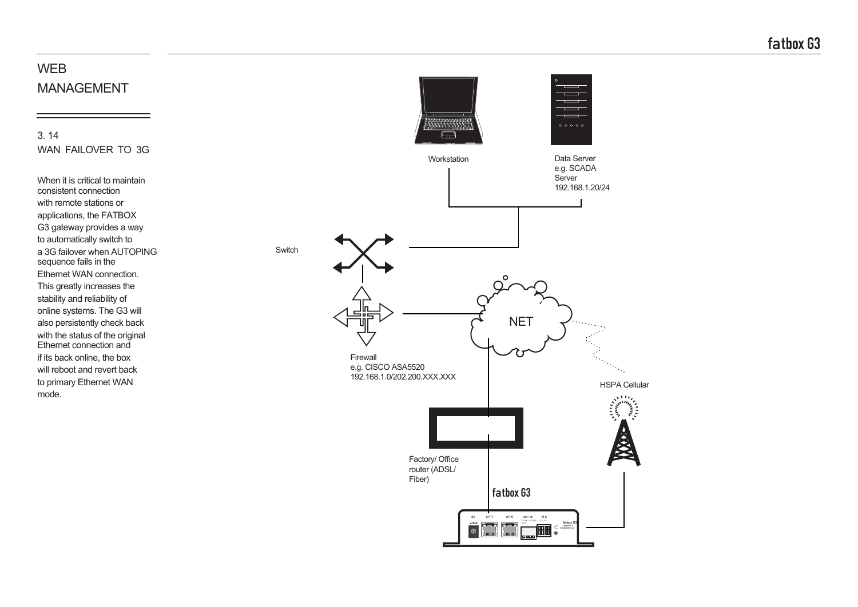3. 14 WAN FAILOVER TO 3G

When it is critical to maintain consistent connection with remote stations or applications, the FATBOX G3 gateway provides a way to automatically switch to a 3G failover when AUTOPING sequence fails in the Ethernet WAN connection. This greatly increases the stability and reliability of online systems. The G3 will also persistently check back with the status of the original Ethernet connection and if its back online, the box will reboot and revert back to primary Ethernet WAN mode.

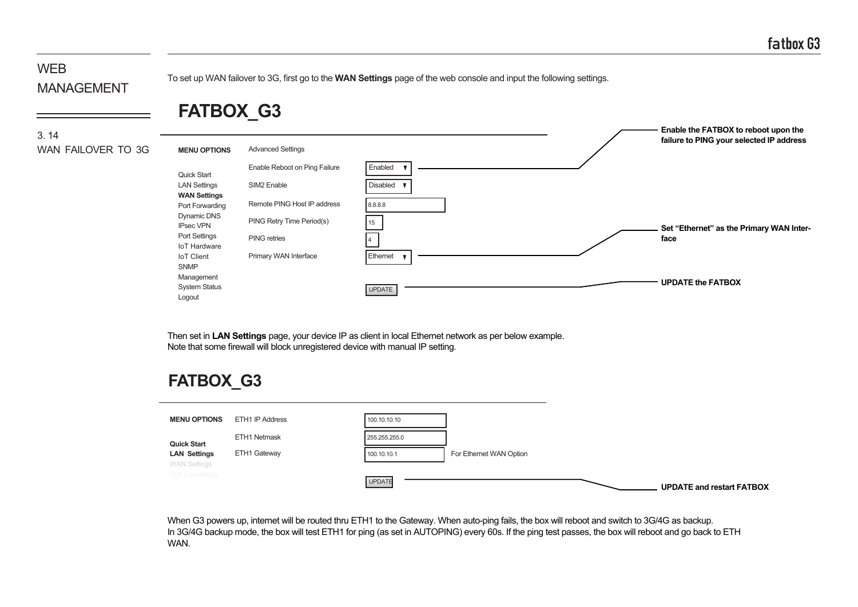To set up WAN failover to 3G, first go to the **WAN Settings** page of the web console and input the following settings.

# **FATBOX\_G3**

3. 14 WAN FAILOVER TO 3G

|                                        |                               |               | Enable the FATBOX to reboot upon the     |
|----------------------------------------|-------------------------------|---------------|------------------------------------------|
| <b>MENU OPTIONS</b>                    | <b>Advanced Settings</b>      |               | failure to PING your selected IP address |
| Quick Start                            | Enable Reboot on Ping Failure | Enabled       |                                          |
| <b>LAN Settings</b>                    | SIM2 Enable                   | Disabled      |                                          |
| <b>WAN Settings</b><br>Port Forwarding | Remote PING Host IP address   | 8.8.8.8       |                                          |
| Dynamic DNS<br><b>IPsec VPN</b>        | PING Retry Time Period(s)     | 15            | Set "Ethernet" as the Primary WAN Inter- |
| Port Settings<br><b>IoT Hardware</b>   | <b>PING</b> retries           |               | face                                     |
| <b>IoT Client</b><br><b>SNMP</b>       | Primary WAN Interface         | Ethernet      |                                          |
| Management                             |                               |               |                                          |
| <b>System Status</b>                   |                               | <b>UPDATE</b> | <b>UPDATE the FATBOX</b>                 |
| Logout                                 |                               |               |                                          |

Then set in **LAN Settings** page, your device IP as client in local Ethernet network as per below example. Note that some firewall will block unregistered device with manual IP setting.

# **FATBOX\_G3**

| <b>MENU OPTIONS</b>                        | ETH1 IP Address | 100.10.10.10  |                         |                                  |
|--------------------------------------------|-----------------|---------------|-------------------------|----------------------------------|
| <b>Quick Start</b>                         | ETH1 Netmask    | 255.255.255.0 |                         |                                  |
| <b>LAN Settings</b><br><b>WAN Settings</b> | ETH1 Gateway    | 100.10.10.1   | For Ethernet WAN Option |                                  |
| Port Forwarding                            |                 | UPDATE        |                         | <b>UPDATE and restart FATBOX</b> |

When G3 powers up, internet will be routed thru ETH1 to the Gateway. When auto-ping fails, the box will reboot and switch to 3G/4G as backup. In 3G/4G backup mode, the box will test ETH1 for ping (as set in AUTOPING) every 60s. If the ping test passes, the box will reboot and go back to ETH WAN.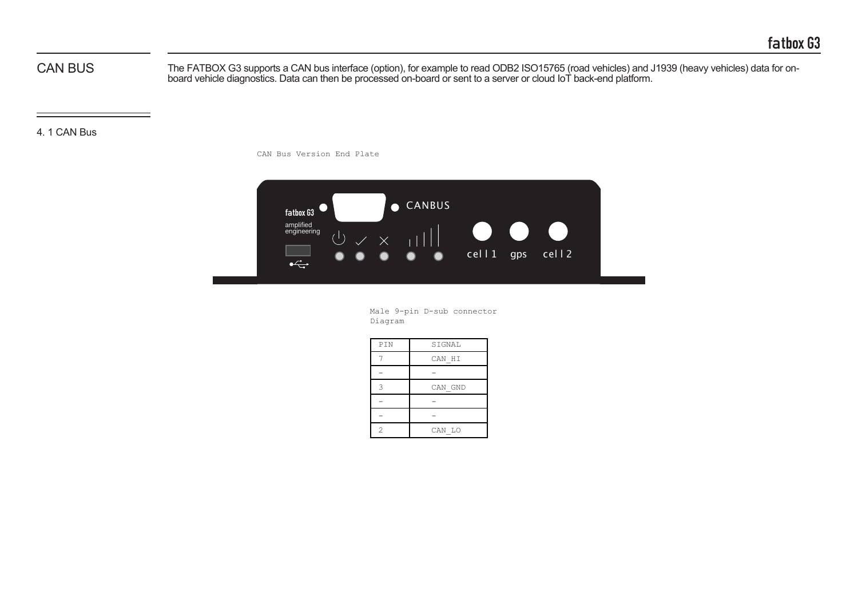CAN BUS

The FATBOX G3 supports a CAN bus interface (option), for example to read ODB2 ISO15765 (road vehicles) and J1939 (heavy vehicles) data for onboard vehicle diagnostics. Data can then be processed on-board or sent to a server or cloud IoT back-end platform.

4. 1 CAN Bus

CAN Bus Version End Plate



Male 9-pin D-sub connector Diagram

| PIN            | SIGNAL  |
|----------------|---------|
|                | CAN HI  |
|                |         |
| 3              | CAN GND |
|                |         |
|                |         |
| $\overline{c}$ | CAN LO  |